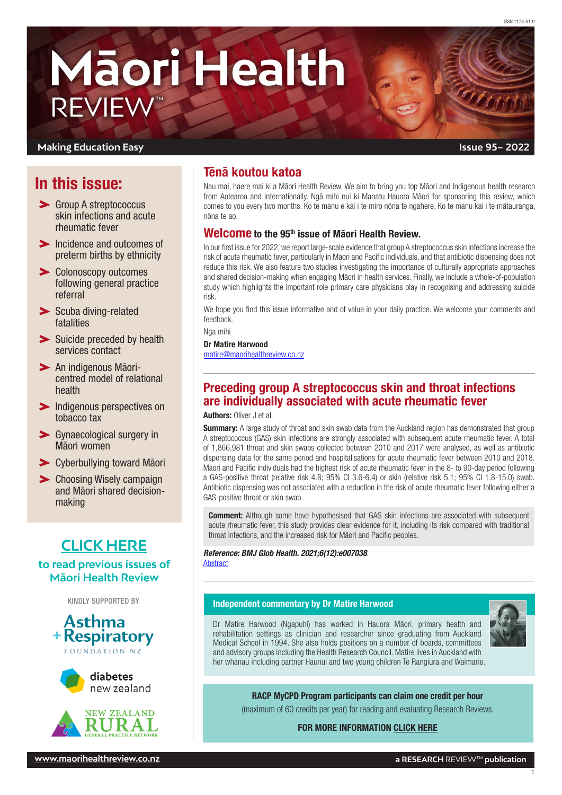# **Māori Health** REVIEW™

#### **Making Education Easy**

# In this issue:

- Group A streptococcus skin infections and acute rheumatic fever
- Incidence and outcomes of [preterm births by ethnicity](#page-1-0)
- [Colonoscopy outcomes](#page-1-0)  [following general practice](#page-1-0)  [referral](#page-1-0)
- > Scuba diving-related [fatalities](#page-2-0)
- Suicide preceded by health [services contact](#page-2-0)
- [An indigenous Māori](#page-2-0)[centred model of relational](#page-2-0)  [health](#page-2-0)
- **Indigenous perspectives on** [tobacco tax](#page-2-0)
- [Gynaecological surgery in](#page-3-0)  [Māori women](#page-3-0)
- [Cyberbullying toward Māori](#page-3-0)
- **>** Choosing Wisely campaign [and Māori shared decision](#page-3-0)[making](#page-3-0)

# **[CLICK HERE](http://www.maorihealthreview.co.nz)**

#### **to read previous issues of Māori Health Review**







# Tēnā koutou katoa

Nau mai, haere mai ki a Māori Health Review. We aim to bring you top Māori and Indigenous health research from Aotearoa and internationally. Ngā mihi nui ki Manatu Hauora Māori for sponsoring this review, which comes to you every two months. Ko te manu e kai i te miro nōna te ngahere, Ko te manu kai i te mātauranga, nōna te ao.

#### Welcome to the 95<sup>th</sup> issue of Māori Health Review.

In our first issue for 2022, we report large-scale evidence that group A streptococcus skin infections increase the risk of acute rheumatic fever, particularly in Māori and Pacific individuals, and that antibiotic dispensing does not reduce this risk. We also feature two studies investigating the importance of culturally appropriate approaches and shared decision-making when engaging Māori in health services. Finally, we include a whole-of-population study which highlights the important role primary care physicians play in recognising and addressing suicide risk.

We hope you find this issue informative and of value in your daily practice. We welcome your comments and feedback.

Nga mihi

Dr Matire Harwood [matire@maorihealthreview.co.nz](mailto:matire%40maorihealthreview.co.nz?subject=)

# Preceding group A streptococcus skin and throat infections are individually associated with acute rheumatic fever

Authors: Oliver J et al.

**Summary:** A large study of throat and skin swab data from the Auckland region has demonstrated that group A streptococcus (GAS) skin infections are strongly associated with subsequent acute rheumatic fever. A total of 1,866,981 throat and skin swabs collected between 2010 and 2017 were analysed, as well as antibiotic dispensing data for the same period and hospitalisations for acute rheumatic fever between 2010 and 2018. Māori and Pacific individuals had the highest risk of acute rheumatic fever in the 8- to 90-day period following a GAS-positive throat (relative risk 4.8; 95% CI 3.6-6.4) or skin (relative risk 5.1; 95% CI 1.8-15.0) swab. Antibiotic dispensing was not associated with a reduction in the risk of acute rheumatic fever following either a GAS-positive throat or skin swab.

**Comment:** Although some have hypothesised that GAS skin infections are associated with subsequent acute rheumatic fever, this study provides clear evidence for it, including its risk compared with traditional throat infections, and the increased risk for Māori and Pacific peoples.

#### *Reference: BMJ Glob Health. 2021;6(12):e007038*. **[Abstract](https://gh.bmj.com/content/6/12/e007038.long)**

# KINDLY SUPPORTED BY **Independent commentary by Dr Matire Harwood**

Dr Matire Harwood (Ngapuhi) has worked in Hauora Māori, primary health and rehabilitation settings as clinician and researcher since graduating from Auckland Medical School in 1994. She also holds positions on a number of boards, committees and advisory groups including the Health Research Council. Matire lives in Auckland with her whānau including partner Haunui and two young children Te Rangiura and Waimarie.



1

#### RACP MyCPD Program participants can claim one credit per hour

(maximum of 60 credits per year) for reading and evaluating Research Reviews.

FOR MORE INFORMATION [CLICK HERE](https://www.racp.edu.au/fellows/continuing-professional-development)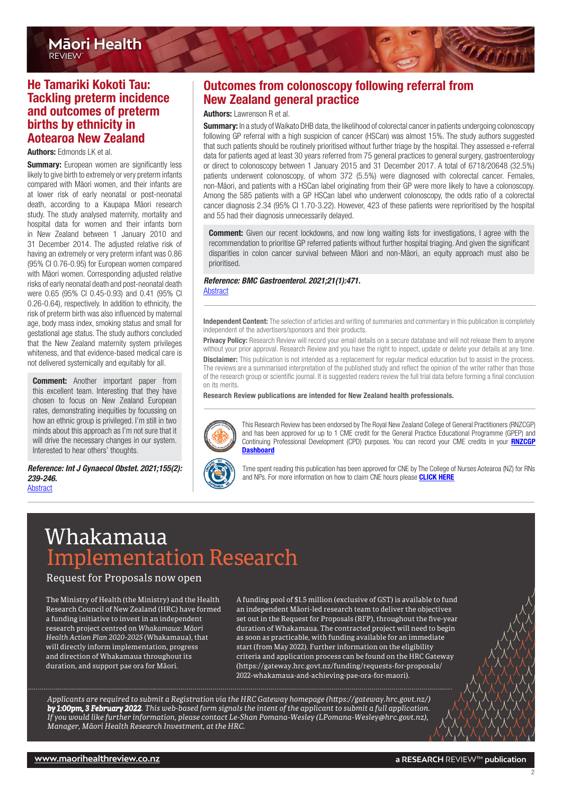## <span id="page-1-0"></span>He Tamariki Kokoti Tau: Tackling preterm incidence and outcomes of preterm births by ethnicity in Aotearoa New Zealand

#### Authors: Edmonds LK et al.

**Summary:** European women are significantly less likely to give birth to extremely or very preterm infants compared with Māori women, and their infants are at lower risk of early neonatal or post-neonatal death, according to a Kaupapa Māori research study. The study analysed maternity, mortality and hospital data for women and their infants born in New Zealand between 1 January 2010 and 31 December 2014. The adjusted relative risk of having an extremely or very preterm infant was 0.86 (95% CI 0.76-0.95) for European women compared with Māori women. Corresponding adjusted relative risks of early neonatal death and post-neonatal death were 0.65 (95% CI 0.45-0.93) and 0.41 (95% CI 0.26-0.64), respectively. In addition to ethnicity, the risk of preterm birth was also influenced by maternal age, body mass index, smoking status and small for gestational age status. The study authors concluded that the New Zealand maternity system privileges whiteness, and that evidence-based medical care is not delivered systemically and equitably for all.

**Comment:** Another important paper from this excellent team. Interesting that they have chosen to focus on New Zealand European rates, demonstrating inequities by focussing on how an ethnic group is privileged. I'm still in two minds about this approach as I'm not sure that it will drive the necessary changes in our system. Interested to hear others' thoughts.

*Reference: Int J Gynaecol Obstet. 2021;155(2): 239-246.* [Abstract](https://obgyn.onlinelibrary.wiley.com/doi/10.1002/ijgo.13855)

# Outcomes from colonoscopy following referral from New Zealand general practice

#### Authors: Lawrenson R et al.

Summary: In a study of Waikato DHB data, the likelihood of colorectal cancer in patients undergoing colonoscopy following GP referral with a high suspicion of cancer (HSCan) was almost 15%. The study authors suggested that such patients should be routinely prioritised without further triage by the hospital. They assessed e-referral data for patients aged at least 30 years referred from 75 general practices to general surgery, gastroenterology or direct to colonoscopy between 1 January 2015 and 31 December 2017. A total of 6718/20648 (32.5%) patients underwent colonoscopy, of whom 372 (5.5%) were diagnosed with colorectal cancer. Females, non-Māori, and patients with a HSCan label originating from their GP were more likely to have a colonoscopy. Among the 585 patients with a GP HSCan label who underwent colonoscopy, the odds ratio of a colorectal cancer diagnosis 2.34 (95% CI 1.70-3.22). However, 423 of these patients were reprioritised by the hospital and 55 had their diagnosis unnecessarily delayed.

**Comment:** Given our recent lockdowns, and now long waiting lists for investigations, I agree with the recommendation to prioritise GP referred patients without further hospital triaging. And given the significant disparities in colon cancer survival between Māori and non-Māori, an equity approach must also be prioritised.

# *Reference: BMC Gastroenterol. 2021;21(1):471.*

**[Abstract](https://bmcgastroenterol.biomedcentral.com/articles/10.1186/s12876-021-02042-7)** 

Independent Content: The selection of articles and writing of summaries and commentary in this publication is completely independent of the advertisers/sponsors and their products.

Privacy Policy: Research Review will record your email details on a secure database and will not release them to anyone without your prior approval. Research Review and you have the right to inspect, update or delete your details at any time. **Disclaimer:** This publication is not intended as a replacement for regular medical education but to assist in the process. The reviews are a summarised interpretation of the published study and reflect the opinion of the writer rather than those of the research group or scientific journal. It is suggested readers review the full trial data before forming a final conclusion on its merits.

Research Review publications are intended for New Zealand health professionals.



This Research Review has been endorsed by The Royal New Zealand College of General Practitioners (RNZCGP) and has been approved for up to 1 CME credit for the General Practice Educational Programme (GPEP) and Continuing Professional Development (CPD) purposes. You can record your CME credits in your **[RNZCGP](https://www.rnzcgp.org.nz/RNZCGP/Contact_Management/Sign_In.aspx) [Dashboard](https://www.rnzcgp.org.nz/RNZCGP/Contact_Management/Sign_In.aspx)** 



Time spent reading this publication has been approved for CNE by The College of Nurses Aotearoa (NZ) for RNs and NPs. For more information on how to claim CNE hours please [CLICK HERE](http://www.nurse.org.nz/continuing-nursing-education-cne-template.html)

# Whakamaua Implementation Research

Request for Proposals now open

The Ministry of Health (the Ministry) and the Health Research Council of New Zealand (HRC) have formed a funding initiative to invest in an independent research project centred on *Whakamaua: Māori Health Action Plan 2020-2025* (Whakamaua), that will directly inform implementation, progress and direction of Whakamaua throughout its duration, and support pae ora for Māori.

A funding pool of \$1.5 million (exclusive of GST) is available to fund an independent Māori-led research team to deliver the objectives set out in the Request for Proposals (RFP), throughout the five-year duration of Whakamaua. The contracted project will need to begin as soon as practicable, with funding available for an immediate start (from May 2022). Further information on the eligibility criteria and application process can be found on the HRC Gateway  $(htps://gateway.hrc.gov.t.nz/funding/requests-for-proposals/$ 2022-whakamaua-and-achieving-pae-ora-for-maori).

*Applicants are required to submit a Registration via the HRC Gateway homep[age \(hps://gateway.hrc.govt.nz/\)](https://gateway.hrc.govt.nz/)  by 1:00pm, 3 February 2022. This web-based form signals the intent of the applicant to submit a full application. If you would like further information, please contact Le-Shan Pomana-Wesl[ey \(LPomana-Wesley@hrc.govt.nz\),](mailto:LPomana-Wesley%40hrc.govt.nz?subject=)  Manager, Māori Health Research Investment, at the HRC.*

2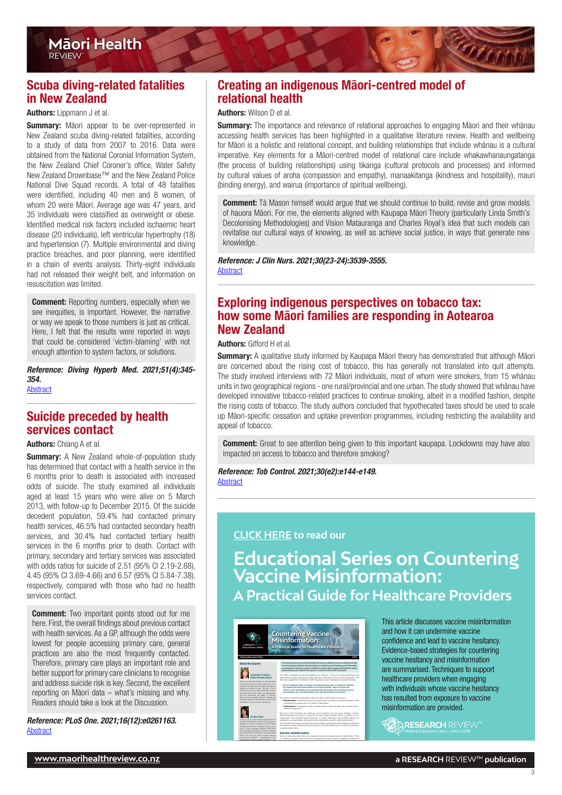# <span id="page-2-0"></span>Scuba diving-related fatalities in New Zealand

#### Authors: Lippmann J et al.

**Summary:** Māori appear to be over-represented in New Zealand scuba diving-related fatalities, according to a study of data from 2007 to 2016. Data were obtained from the National Coronial Information System, the New Zealand Chief Coroner's office, Water Safety New Zealand Drownbase™ and the New Zealand Police National Dive Squad records. A total of 48 fatalities were identified, including 40 men and 8 women, of whom 20 were Māori. Average age was 47 years, and 35 individuals were classified as overweight or obese. Identified medical risk factors included ischaemic heart disease (20 individuals), left ventricular hypertrophy (18) and hypertension (7). Multiple environmental and diving practice breaches, and poor planning, were identified in a chain of events analysis. Thirty-eight individuals had not released their weight belt, and information on resuscitation was limited.

**Comment:** Reporting numbers, especially when we see inequities, is important. However, the narrative or way we speak to those numbers is just as critical. Here, I felt that the results were reported in ways that could be considered 'victim-blaming' with not enough attention to system factors, or solutions.

*Reference: Diving Hyperb Med. 2021;51(4):345- 354.* **[Abstract](https://www.dhmjournal.com/index.php/journals?id=289)** 

## Suicide preceded by health services contact

#### Authors: Chiang A et al.

**Summary:** A New Zealand whole-of-population study has determined that contact with a health service in the 6 months prior to death is associated with increased odds of suicide. The study examined all individuals aged at least 15 years who were alive on 5 March 2013, with follow-up to December 2015. Of the suicide decedent population, 59.4% had contacted primary health services, 46.5% had contacted secondary health services, and 30.4% had contacted tertiary health services in the 6 months prior to death. Contact with primary, secondary and tertiary services was associated with odds ratios for suicide of 2.51 (95% CI 2.19-2.88), 4.45 (95% CI 3.69-4.66) and 6.57 (95% CI 5.84-7.38), respectively, compared with those who had no health services contact.

**Comment:** Two important points stood out for me here. First, the overall findings about previous contact with health services. As a GP, although the odds were lowest for people accessing primary care, general practices are also the most frequently contacted. Therefore, primary care plays an important role and better support for primary care clinicians to recognise and address suicide risk is key. Second, the excellent reporting on Māori data – what's missing and why. Readers should take a look at the Discussion.

*Reference: PLoS One. 2021;16(12):e0261163.* [Abstract](https://journals.plos.org/plosone/article?id=10.1371/journal.pone.0261163)

# Creating an indigenous Māori-centred model of relational health

#### Authors: Wilson D et al.

Summary: The importance and relevance of relational approaches to engaging Māori and their whānau accessing health services has been highlighted in a qualitative literature review. Health and wellbeing for Māori is a holistic and relational concept, and building relationships that include whānau is a cultural imperative. Key elements for a Māori-centred model of relational care include whakawhanaungatanga (the process of building relationships) using tikanga (cultural protocols and processes) and informed by cultural values of aroha (compassion and empathy), manaakitanga (kindness and hospitality), mauri (binding energy), and wairua (importance of spiritual wellbeing).

**Comment:** Tā Mason himself would argue that we should continue to build, revise and grow models of hauora Māori. For me, the elements aligned with Kaupapa Māori Theory (particularly Linda Smith's Decolonising Methodologies) and Vision Matauranga and Charles Royal's idea that such models can revitalise our cultural ways of knowing, as well as achieve social justice, in ways that generate new knowledge.

*Reference: J Clin Nurs. 2021;30(23-24):3539-3555.*

[Abstract](https://onlinelibrary.wiley.com/doi/10.1111/jocn.15859)

## Exploring indigenous perspectives on tobacco tax: how some Māori families are responding in Aotearoa New Zealand

#### Authors: Gifford H et al.

Summary: A qualitative study informed by Kaupapa Māori theory has demonstrated that although Māori are concerned about the rising cost of tobacco, this has generally not translated into quit attempts. The study involved interviews with 72 Māori individuals, most of whom were smokers, from 15 whānau units in two geographical regions - one rural/provincial and one urban. The study showed that whānau have developed innovative tobacco-related practices to continue smoking, albeit in a modified fashion, despite the rising costs of tobacco. The study authors concluded that hypothecated taxes should be used to scale up Māori-specific cessation and uptake prevention programmes, including restricting the availability and appeal of tobacco.

**Comment:** Great to see attention being given to this important kaupapa. Lockdowns may have also impacted on access to tobacco and therefore smoking?

*Reference: Tob Control. 2021;30(e2):e144-e149.*  [Abstract](https://tobaccocontrol.bmj.com/content/30/e2/e144.long)

#### **[CLICK HERE](https://www.researchreview.co.nz/nz/Clinical-Area/General-Medicine/General-Practice/Educational-Series-Countering-Vaccine-Misinformat.aspx?hash=995eb02492254adbd9f7edf7d6ab40022fbe699e455795d24158443084200e8c) to read our**

**Educational Series on Countering Vaccine Misinformation: A Practical Guide for Healthcare Providers**



treatment adherence in asthma. Amy has nearly

 $M_{\rm eff}$  and ethnic minorities, as well as well as well as well as well as well as well as  $\Delta$ 

This article discusses vaccine misinformation and how it can undermine vaccine confidence and lead to vaccine hesitancy. Evidence-based strategies for countering vaccine hesitancy and misinformation are summarised. Techniques to support healthcare providers when engaging with individuals whose vaccine hesitancy has resulted from exposure to vaccine misinformation are provided.



3